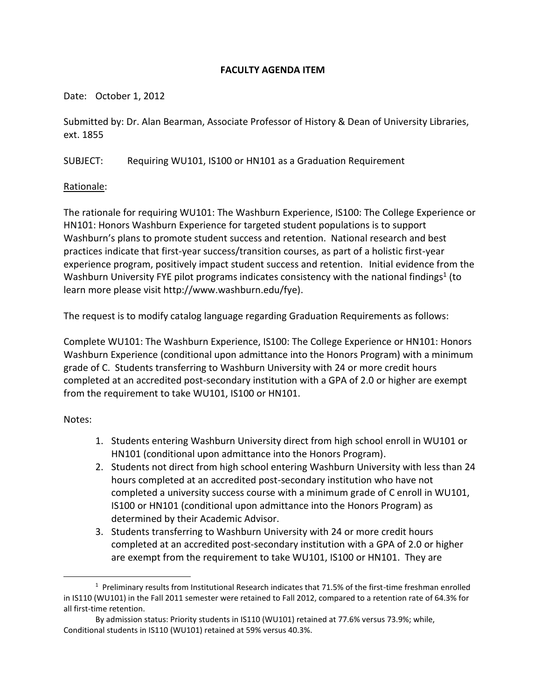# **FACULTY AGENDA ITEM**

Date: October 1, 2012

Submitted by: Dr. Alan Bearman, Associate Professor of History & Dean of University Libraries, ext. 1855

SUBJECT: Requiring WU101, IS100 or HN101 as a Graduation Requirement

## Rationale:

The rationale for requiring WU101: The Washburn Experience, IS100: The College Experience or HN101: Honors Washburn Experience for targeted student populations is to support Washburn's plans to promote student success and retention. National research and best practices indicate that first-year success/transition courses, as part of a holistic first-year experience program, positively impact student success and retention.Initial evidence from the Washburn University FYE pilot programs indicates consistency with the national findings<sup>1</sup> (to learn more please visit http://www.washburn.edu/fye).

The request is to modify catalog language regarding Graduation Requirements as follows:

Complete WU101: The Washburn Experience, IS100: The College Experience or HN101: Honors Washburn Experience (conditional upon admittance into the Honors Program) with a minimum grade of C. Students transferring to Washburn University with 24 or more credit hours completed at an accredited post-secondary institution with a GPA of 2.0 or higher are exempt from the requirement to take WU101, IS100 or HN101.

Notes:

l

- 1. Students entering Washburn University direct from high school enroll in WU101 or HN101 (conditional upon admittance into the Honors Program).
- 2. Students not direct from high school entering Washburn University with less than 24 hours completed at an accredited post-secondary institution who have not completed a university success course with a minimum grade of C enroll in WU101, IS100 or HN101 (conditional upon admittance into the Honors Program) as determined by their Academic Advisor.
- 3. Students transferring to Washburn University with 24 or more credit hours completed at an accredited post-secondary institution with a GPA of 2.0 or higher are exempt from the requirement to take WU101, IS100 or HN101. They are

<sup>&</sup>lt;sup>1</sup> Preliminary results from Institutional Research indicates that 71.5% of the first-time freshman enrolled in IS110 (WU101) in the Fall 2011 semester were retained to Fall 2012, compared to a retention rate of 64.3% for all first-time retention.

By admission status: Priority students in IS110 (WU101) retained at 77.6% versus 73.9%; while, Conditional students in IS110 (WU101) retained at 59% versus 40.3%.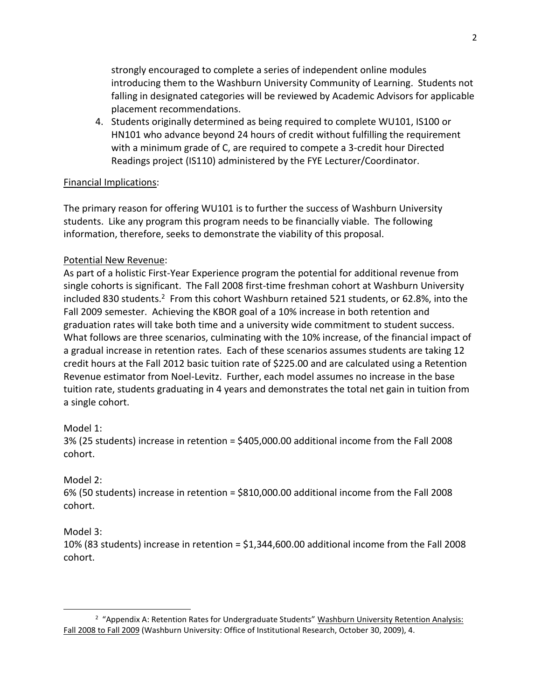strongly encouraged to complete a series of independent online modules introducing them to the Washburn University Community of Learning. Students not falling in designated categories will be reviewed by Academic Advisors for applicable placement recommendations.

4. Students originally determined as being required to complete WU101, IS100 or HN101 who advance beyond 24 hours of credit without fulfilling the requirement with a minimum grade of C, are required to compete a 3-credit hour Directed Readings project (IS110) administered by the FYE Lecturer/Coordinator.

### Financial Implications:

The primary reason for offering WU101 is to further the success of Washburn University students. Like any program this program needs to be financially viable. The following information, therefore, seeks to demonstrate the viability of this proposal.

### Potential New Revenue:

As part of a holistic First-Year Experience program the potential for additional revenue from single cohorts is significant. The Fall 2008 first-time freshman cohort at Washburn University included 830 students.<sup>2</sup> From this cohort Washburn retained 521 students, or 62.8%, into the Fall 2009 semester. Achieving the KBOR goal of a 10% increase in both retention and graduation rates will take both time and a university wide commitment to student success. What follows are three scenarios, culminating with the 10% increase, of the financial impact of a gradual increase in retention rates. Each of these scenarios assumes students are taking 12 credit hours at the Fall 2012 basic tuition rate of \$225.00 and are calculated using a Retention Revenue estimator from Noel-Levitz. Further, each model assumes no increase in the base tuition rate, students graduating in 4 years and demonstrates the total net gain in tuition from a single cohort.

#### Model 1:

3% (25 students) increase in retention = \$405,000.00 additional income from the Fall 2008 cohort.

## Model 2:

6% (50 students) increase in retention = \$810,000.00 additional income from the Fall 2008 cohort.

## Model 3:

l

10% (83 students) increase in retention = \$1,344,600.00 additional income from the Fall 2008 cohort.

<sup>&</sup>lt;sup>2</sup> "Appendix A: Retention Rates for Undergraduate Students" Washburn University Retention Analysis: Fall 2008 to Fall 2009 (Washburn University: Office of Institutional Research, October 30, 2009), 4.